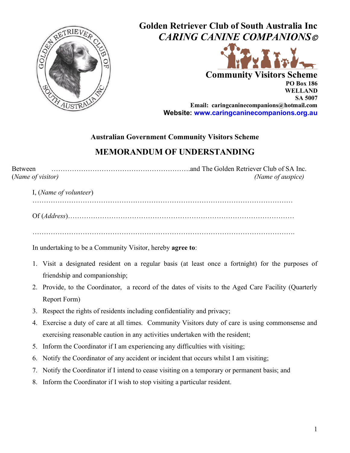

**Golden Retriever Club of South Australia Inc** *CARING CANINE COMPANIONS*©



**Community Visitors Scheme PO Box 186 WELLAND SA 5007 Email: caringcaninecompanions@hotmail.com Website: [www.caringcaninecompanions.org.au](http://www.caringcaninecompanions.org.a/)**

## **Australian Government Community Visitors Scheme**

## **MEMORANDUM OF UNDERSTANDING**

Between …………………………………………………….and The Golden Retriever Club of SA Inc. (*Name of visitor) (Name of auspice)* 

I, (*Name of volunteer*)

……………………………………………………………………………………………………

Of (*Address*)………………………………………………………………………………………

…………………………………………………………………………………………………….

In undertaking to be a Community Visitor, hereby **agree to**:

- 1. Visit a designated resident on a regular basis (at least once a fortnight) for the purposes of friendship and companionship;
- 2. Provide, to the Coordinator, a record of the dates of visits to the Aged Care Facility (Quarterly Report Form)
- 3. Respect the rights of residents including confidentiality and privacy;
- 4. Exercise a duty of care at all times. Community Visitors duty of care is using commonsense and exercising reasonable caution in any activities undertaken with the resident;
- 5. Inform the Coordinator if I am experiencing any difficulties with visiting;
- 6. Notify the Coordinator of any accident or incident that occurs whilst I am visiting;
- 7. Notify the Coordinator if I intend to cease visiting on a temporary or permanent basis; and
- 8. Inform the Coordinator if I wish to stop visiting a particular resident.